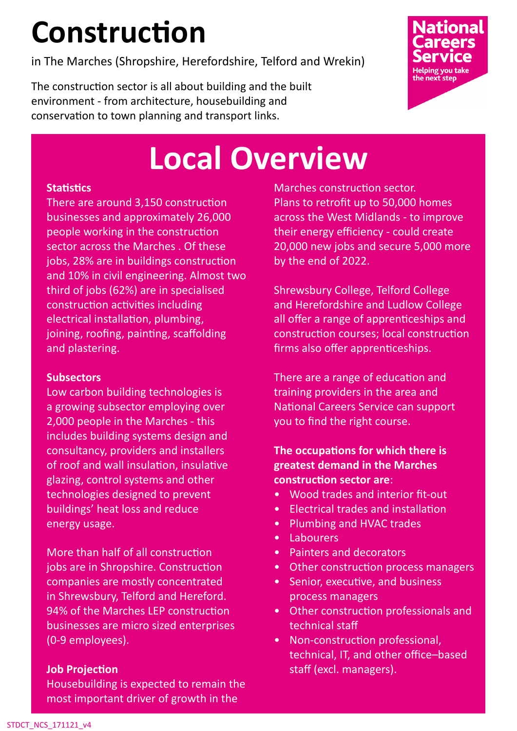# **Construction**

in The Marches (Shropshire, Herefordshire, Telford and Wrekin)

The construction sector is all about building and the built environment - from architecture, housebuilding and conservation to town planning and transport links.



## **Local Overview**

#### **Statistics**

There are around 3,150 construction businesses and approximately 26,000 people working in the construction sector across the Marches . Of these jobs, 28% are in buildings construction and 10% in civil engineering. Almost two third of jobs (62%) are in specialised construction activities including electrical installation, plumbing, joining, roofing, painting, scaffolding and plastering.

#### **Subsectors**

Low carbon building technologies is a growing subsector employing over 2,000 people in the Marches - this includes building systems design and consultancy, providers and installers of roof and wall insulation, insulative glazing, control systems and other technologies designed to prevent buildings' heat loss and reduce energy usage.

More than half of all construction jobs are in Shropshire. Construction companies are mostly concentrated in Shrewsbury, Telford and Hereford. 94% of the Marches LEP construction businesses are micro sized enterprises (0-9 employees).

#### **Job Projection**

Housebuilding is expected to remain the most important driver of growth in the

Marches construction sector. Plans to retrofit up to 50,000 homes across the West Midlands - to improve their energy efficiency - could create 20,000 new jobs and secure 5,000 more by the end of 2022.

Shrewsbury College, Telford College and Herefordshire and Ludlow College all offer a range of apprenticeships and construction courses; local construction firms also offer apprenticeships.

There are a range of education and training providers in the area and National Careers Service can support you to find the right course.

### **The occupations for which there is greatest demand in the Marches construction sector are**:

- Wood trades and interior fit-out
- Electrical trades and installation
- Plumbing and HVAC trades
- Labourers
- Painters and decorators
- Other construction process managers
- Senior, executive, and business process managers
- Other construction professionals and technical staff
- Non-construction professional, technical, IT, and other office–based staff (excl. managers).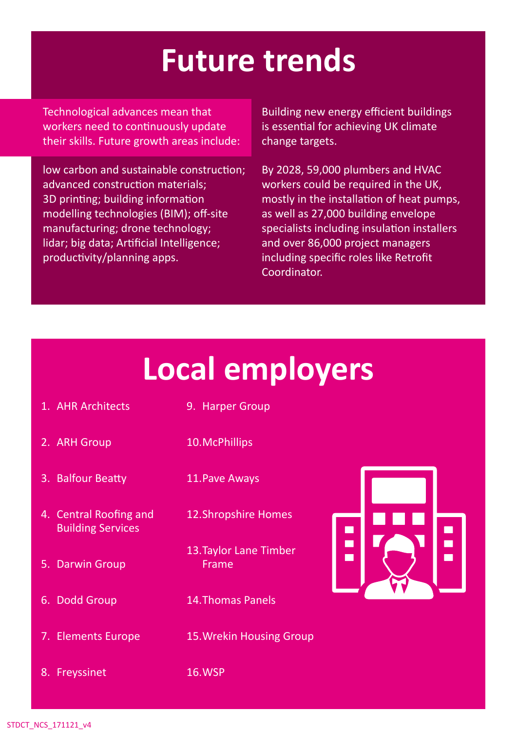## **Future trends**

Technological advances mean that workers need to continuously update their skills. Future growth areas include:

low carbon and sustainable construction; advanced construction materials; 3D printing; building information modelling technologies (BIM); off-site manufacturing; drone technology; lidar; big data; Artificial Intelligence; productivity/planning apps.

Building new energy efficient buildings is essential for achieving UK climate change targets.

By 2028, 59,000 plumbers and HVAC workers could be required in the UK, mostly in the installation of heat pumps, as well as 27,000 building envelope specialists including insulation installers and over 86,000 project managers including specific roles like Retrofit Coordinator.

# **Local employers**

- 1. AHR Architects
- 9. Harper Group
- 2. ARH Group 10.McPhillips
- 3. Balfour Beatty 11.Pave Aways
- 4. Central Roofing and Building Services
- 5. Darwin Group
- 6. Dodd Group
- 7. Elements Europe
- 12.Shropshire Homes
- 13.Taylor Lane Timber Frame
- 14.Thomas Panels
- 15.Wrekin Housing Group
- 8. Freyssinet 16.WSP

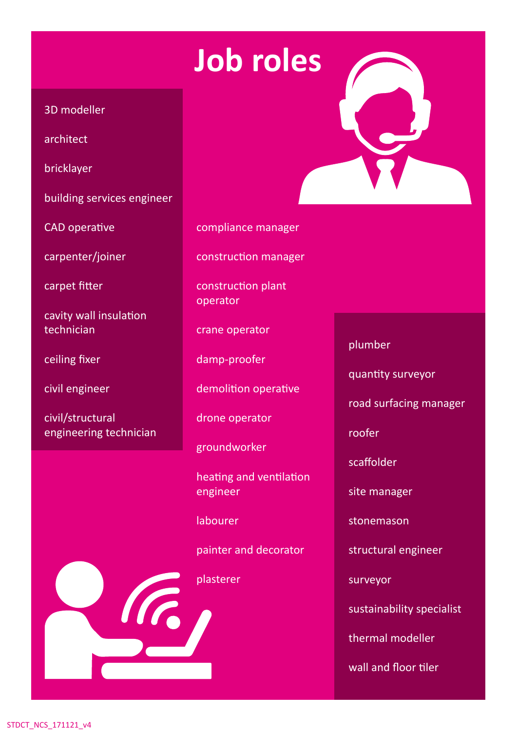## **Job roles**

#### 3D modeller

architect

bricklayer

building services engineer

CAD operative

carpenter/joiner

carpet fitter

cavity wall insulation technician

ceiling fixer

civil engineer

civil/structural engineering technician



construction manager

construction plant operator

crane operator

damp-proofer

demolition operative

drone operator

groundworker

heating and ventilation engineer

labourer

painter and decorator

plasterer

"" "



plumber

quantity surveyor

road surfacing manager

roofer

scaffolder

site manager

stonemason

structural engineer

surveyor

sustainability specialist

thermal modeller

wall and floor tiler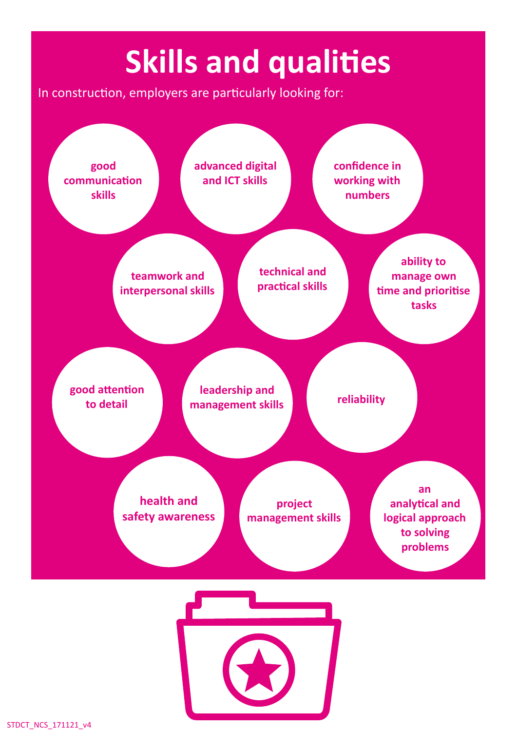# **Skills and qualities**

In construction, employers are particularly looking for: